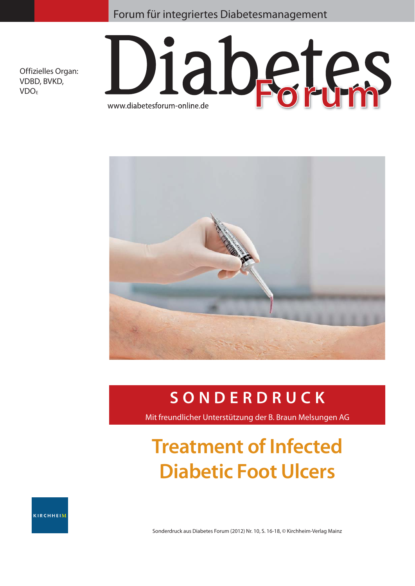### Forum für integriertes Diabetesmanagement

Offizielles Organ: VDBD, BVKD, VDOE





# **SONDERDRUCK**

Mit freundlicher Unterstützung der B. Braun Melsungen AG

# **Treatment of Infected Diabetic Foot Ulcers**

KIRCHHEIM

Sonderdruck aus Diabetes Forum (2012) Nr. 10, S. 16-18, © Kirchheim-Verlag Mainz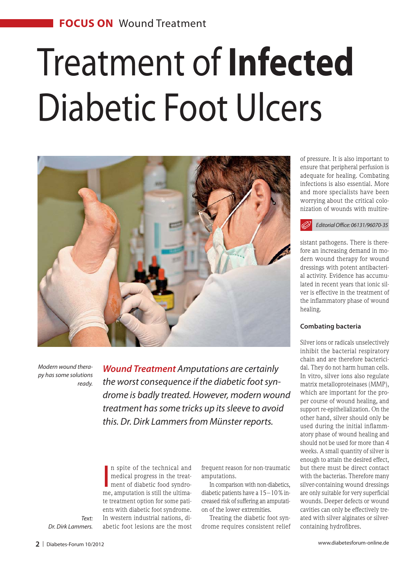# Treatment of **Infected** Diabetic Foot Ulcers



*Modern wound therapy has some solutions ready.* 

*Wound Treatment Amputations are certainly the worst consequence if the diabetic foot syndrome is badly treated. However, modern wound treatment has some tricks up its sleeve to avoid this. Dr. Dirk Lammers from Münster reports.* 

In spite of the technical and<br>medical progress in the treat-<br>ment of diabetic food syndro-<br>me, amputation is still the ultiman spite of the technical and medical progress in the treatment of diabetic food syndrote treatment option for some patients with diabetic foot syndrome. In western industrial nations, diabetic foot lesions are the most

frequent reason for non-traumatic amputations.

In comparison with non-diabetics, diabetic patients have a 15 – 10 % increased risk of suffering an amputation of the lower extremities.

Treating the diabetic foot syndrome requires consistent relief of pressure. It is also important to ensure that peripheral perfusion is adequate for healing. Combating infections is also essential. More and more specialists have been worrying about the critical colonization of wounds with multire-

*Editorial Office: 06131/96070-35*

sistant pathogens. There is therefore an increasing demand in modern wound therapy for wound dressings with potent antibacterial activity. Evidence has accumulated in recent years that ionic silver is effective in the treatment of the inflammatory phase of wound healing.

#### **Combating bacteria**

Silver ions or radicals unselectively inhibit the bacterial respiratory chain and are therefore bactericidal. They do not harm human cells. In vitro, silver ions also regulate matrix metalloproteinases (MMP), which are important for the proper course of wound healing, and support re-epithelialization. On the other hand, silver should only be used during the initial inflammatory phase of wound healing and should not be used for more than 4 weeks. A small quantity of silver is enough to attain the desired effect, but there must be direct contact with the bacterias. Therefore many silver-containing wound dressings are only suitable for very superficial wounds. Deeper defects or wound cavities can only be effectively treated with silver alginates or silvercontaining hydrofibres.

*Text: Dr. Dirk Lammers.*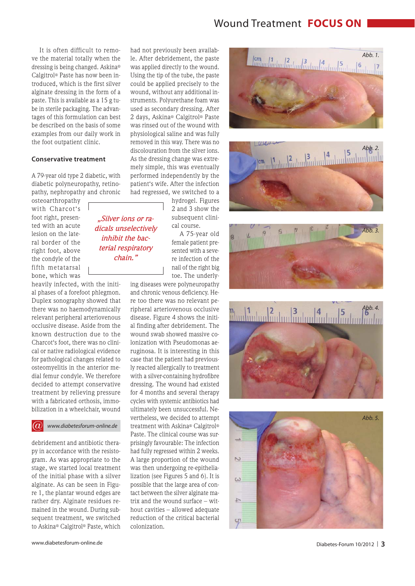## Wound Treatment **FOCUS ON**

It is often difficult to remove the material totally when the dressing is being changed. Askina® Calgitrol® Paste has now been introduced, which is the first silver alginate dressing in the form of a paste. This is available as a 15 g tube in sterile packaging. The advantages of this formulation can best be described on the basis of some examples from our daily work in the foot outpatient clinic.

#### **Conservative treatment**

A 79-year old type 2 diabetic, with diabetic polyneuropathy, retinopathy, nephropathy and chronic

> *"Silver ions or radicals unselectively inhibit the bacterial respiratory chain."*

osteoarthropathy with Charcot's foot right, presented with an acute lesion on the lateral border of the right foot, above the condyle of the fifth metatarsal bone, which was

heavily infected, with the initial phases of a forefoot phlegmon. Duplex sonography showed that there was no haemodynamically relevant peripheral arteriovenous occlusive disease. Aside from the known destruction due to the Charcot's foot, there was no clinical or native radiological evidence for pathological changes related to osteomyelitis in the anterior medial femur condyle. We therefore decided to attempt conservative treatment by relieving pressure with a fabricated orthosis, immobilization in a wheelchair, wound

*www.diabetesforum-online.de*

debridement and antibiotic therapy in accordance with the resistogram. As was appropriate to the stage, we started local treatment of the initial phase with a silver alginate. As can be seen in Figure 1, the plantar wound edges are rather dry. Alginate residues remained in the wound. During subsequent treatment, we switched to Askina® Calgitrol® Paste, which had not previously been available. After debridement, the paste was applied directly to the wound. Using the tip of the tube, the paste could be applied precisely to the wound, without any additional instruments. Polyurethane foam was used as secondary dressing. After 2 days, Askina® Calgitrol® Paste was rinsed out of the wound with physiological saline and was fully removed in this way. There was no discolouration from the silver ions. As the dressing change was extremely simple, this was eventually performed independently by the patient's wife. After the infection had regressed, we switched to a

> hydrogel. Figures 2 and 3 show the subsequent clinical course.

A 75-year old female patient presented with a severe infection of the nail of the right big toe. The underly-

ing diseases were polyneuropathy and chronic venous deficiency. Here too there was no relevant peripheral arteriovenous occlusive disease. Figure 4 shows the initial finding after debridement. The wound swab showed massive colonization with Pseudomonas aeruginosa. It is interesting in this case that the patient had previously reacted allergically to treatment with a silver-containing hydrofibre dressing. The wound had existed for 4 months and several therapy cycles with systemic antibiotics had ultimately been unsuccessful. Nevertheless, we decided to attempt treatment with Askina® Calgitrol® Paste. The clinical course was surprisingly favourable: The infection had fully regressed within 2 weeks. A large proportion of the wound was then undergoing re-epithelialization (see Figures 5 and 6). It is possible that the large area of contact between the silver alginate matrix and the wound surface – without cavities – allowed adequate reduction of the critical bacterial colonization.











www.diabetesforum-online.de